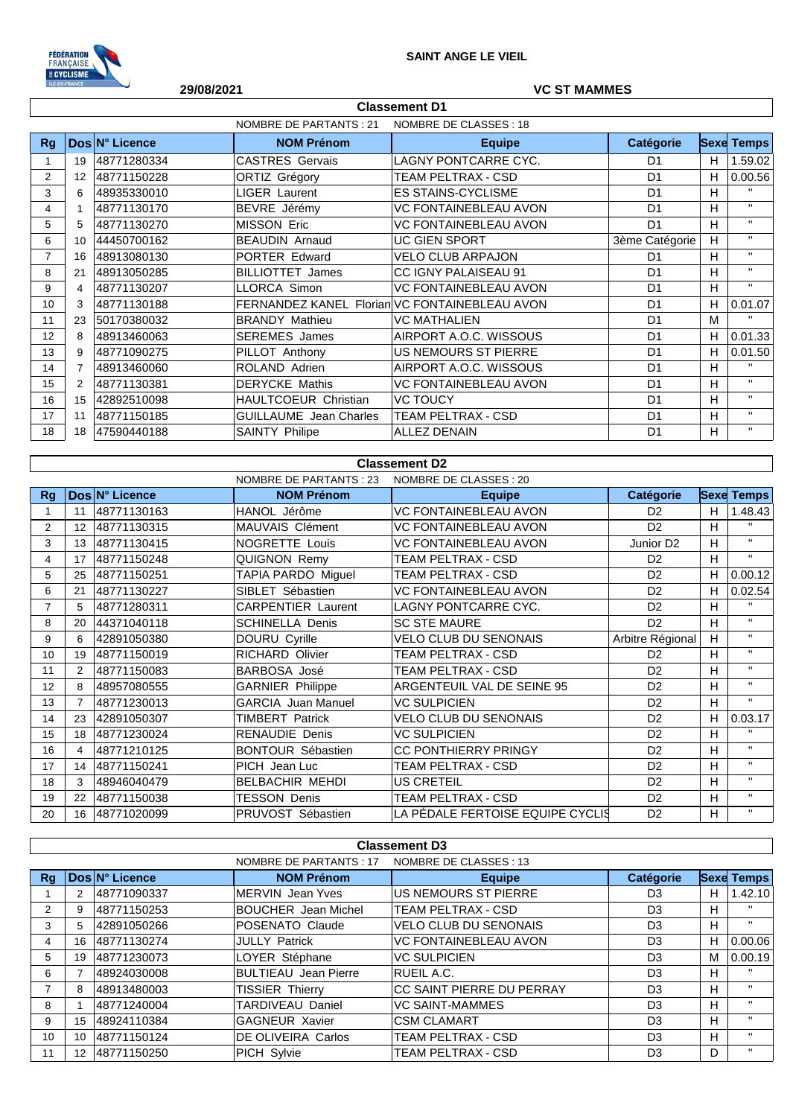

## **29/08/2021 VC ST MAMMES**

| <b>Classement D1</b> |                                                   |                |                               |                                               |                |    |                   |  |  |
|----------------------|---------------------------------------------------|----------------|-------------------------------|-----------------------------------------------|----------------|----|-------------------|--|--|
|                      | NOMBRE DE PARTANTS : 21<br>NOMBRE DE CLASSES : 18 |                |                               |                                               |                |    |                   |  |  |
| Rg                   |                                                   | Dos N° Licence | <b>NOM Prénom</b>             | <b>Equipe</b>                                 | Catégorie      |    | <b>Sexe Temps</b> |  |  |
| 1                    | 19                                                | 48771280334    | <b>CASTRES Gervais</b>        | <b>LAGNY PONTCARRE CYC.</b>                   | D1             | H. | 1.59.02           |  |  |
| 2                    | 12                                                | 48771150228    | ORTIZ Grégory                 | TEAM PELTRAX - CSD                            | D <sub>1</sub> | H  | 0.00.56           |  |  |
| 3                    | 6                                                 | 48935330010    | LIGER Laurent                 | <b>ES STAINS-CYCLISME</b>                     | D <sub>1</sub> | H  | $\mathbf{H}$      |  |  |
| 4                    |                                                   | 48771130170    | BEVRE Jérémy                  | <b>VC FONTAINEBLEAU AVON</b>                  | D <sub>1</sub> | H  | $\mathbf{H}$      |  |  |
| 5                    | 5                                                 | 48771130270    | <b>MISSON Eric</b>            | <b>VC FONTAINEBLEAU AVON</b>                  | D <sub>1</sub> | H  | $\mathbf{H}$      |  |  |
| 6                    | 10                                                | 44450700162    | <b>BEAUDIN Arnaud</b>         | <b>UC GIEN SPORT</b>                          | 3ème Catégorie | H  | $\mathbf{H}$      |  |  |
| $\overline{7}$       | 16                                                | 48913080130    | PORTER Edward                 | <b>VELO CLUB ARPAJON</b>                      | D <sub>1</sub> | H  | $\mathbf{H}$      |  |  |
| 8                    | 21                                                | 48913050285    | <b>BILLIOTTET James</b>       | <b>CC IGNY PALAISEAU 91</b>                   | D <sub>1</sub> | H  | $\mathbf{H}$      |  |  |
| 9                    | 4                                                 | 48771130207    | <b>LLORCA Simon</b>           | <b>VC FONTAINEBLEAU AVON</b>                  | D <sub>1</sub> | H  | $\mathbf{H}$      |  |  |
| 10                   | 3                                                 | 48771130188    |                               | FERNANDEZ KANEL Florian VC FONTAINEBLEAU AVON | D <sub>1</sub> | H. | 0.01.07           |  |  |
| 11                   | 23                                                | 50170380032    | <b>BRANDY Mathieu</b>         | <b>VC MATHALIEN</b>                           | D <sub>1</sub> | M  | $\mathbf{H}$      |  |  |
| 12                   | 8                                                 | 48913460063    | <b>SEREMES</b> James          | AIRPORT A.O.C. WISSOUS                        | D <sub>1</sub> | H. | 0.01.33           |  |  |
| 13                   | 9                                                 | 48771090275    | PILLOT Anthony                | <b>US NEMOURS ST PIERRE</b>                   | D <sub>1</sub> | H  | 0.01.50           |  |  |
| 14                   |                                                   | 48913460060    | ROLAND Adrien                 | AIRPORT A.O.C. WISSOUS                        | D <sub>1</sub> | H  | $\mathbf{H}$      |  |  |
| 15                   | 2                                                 | 48771130381    | <b>DERYCKE Mathis</b>         | <b>VC FONTAINEBLEAU AVON</b>                  | D <sub>1</sub> | H  | $\mathbf{H}$      |  |  |
| 16                   | 15                                                | 42892510098    | HAULTCOEUR Christian          | <b>VC TOUCY</b>                               | D <sub>1</sub> | H  | $\mathbf{H}$      |  |  |
| 17                   | 11                                                | 48771150185    | <b>GUILLAUME</b> Jean Charles | <b>TEAM PELTRAX - CSD</b>                     | D <sub>1</sub> | H  | $\mathbf{H}$      |  |  |
| 18                   | 18                                                | 47590440188    | <b>SAINTY Philipe</b>         | <b>ALLEZ DENAIN</b>                           | D <sub>1</sub> | H  | $\mathbf{H}$      |  |  |

|                |                 |                | <b>NOMBRE DE PARTANTS: 23</b> | NOMBRE DE CLASSES : 20           |                       |   |                   |
|----------------|-----------------|----------------|-------------------------------|----------------------------------|-----------------------|---|-------------------|
| <b>Rg</b>      |                 | Dos N° Licence | <b>NOM Prénom</b>             | <b>Equipe</b>                    | Catégorie             |   | <b>Sexe Temps</b> |
|                | 11              | 48771130163    | HANOL Jérôme                  | <b>VC FONTAINEBLEAU AVON</b>     | D <sub>2</sub>        | Н | 1.48.43           |
| $\overline{2}$ | 12 <sup>2</sup> | 48771130315    | MAUVAIS Clément               | <b>VC FONTAINEBLEAU AVON</b>     | D <sub>2</sub>        | H | $\mathbf{H}$      |
| 3              | 13              | 48771130415    | <b>NOGRETTE Louis</b>         | <b>VC FONTAINEBLEAU AVON</b>     | Junior D <sub>2</sub> | H | $\mathbf{H}$      |
| 4              | 17              | 48771150248    | QUIGNON Remy                  | TEAM PELTRAX - CSD               | D <sub>2</sub>        | H | $\mathbf{H}$      |
| 5              | 25              | 48771150251    | TAPIA PARDO Miguel            | <b>TEAM PELTRAX - CSD</b>        | D <sub>2</sub>        | H | 0.00.12           |
| 6              | 21              | 48771130227    | SIBLET Sébastien              | <b>VC FONTAINEBLEAU AVON</b>     | D <sub>2</sub>        | H | 0.02.54           |
| $\overline{7}$ | 5               | 48771280311    | <b>CARPENTIER Laurent</b>     | LAGNY PONTCARRE CYC.             | D <sub>2</sub>        | H | $\mathbf{H}$      |
| 8              | 20              | 44371040118    | <b>SCHINELLA Denis</b>        | <b>SC STE MAURE</b>              | D <sub>2</sub>        | H | $\mathbf{H}$      |
| 9              | 6               | 42891050380    | DOURU Cyrille                 | <b>VELO CLUB DU SENONAIS</b>     | Arbitre Régional      | H | $\mathbf{H}$      |
| 10             | 19              | 48771150019    | <b>RICHARD Olivier</b>        | TEAM PELTRAX - CSD               | D <sub>2</sub>        | H | $\mathbf{H}$      |
| 11             | 2               | 48771150083    | <b>BARBOSA José</b>           | TEAM PELTRAX - CSD               | D <sub>2</sub>        | H | $\mathbf{H}$      |
| 12             | 8               | 48957080555    | <b>GARNIER Philippe</b>       | ARGENTEUIL VAL DE SEINE 95       | D <sub>2</sub>        | H | $\mathbf{H}$      |
| 13             | $\overline{7}$  | 48771230013    | <b>GARCIA Juan Manuel</b>     | <b>VC SULPICIEN</b>              | D <sub>2</sub>        | H | $\mathbf{H}$      |
| 14             | 23              | 42891050307    | <b>TIMBERT Patrick</b>        | <b>VELO CLUB DU SENONAIS</b>     | D <sub>2</sub>        | H | 0.03.17           |
| 15             | 18              | 48771230024    | <b>RENAUDIE Denis</b>         | <b>VC SULPICIEN</b>              | D <sub>2</sub>        | H | $\mathbf{H}$      |
| 16             | 4               | 48771210125    | <b>BONTOUR Sébastien</b>      | <b>CC PONTHIERRY PRINGY</b>      | D <sub>2</sub>        | H | $\mathbf{H}$      |
| 17             | 14              | 48771150241    | PICH Jean Luc                 | TEAM PELTRAX - CSD               | D <sub>2</sub>        | Н | $\mathbf{H}$      |
| 18             | 3               | 48946040479    | <b>BELBACHIR MEHDI</b>        | <b>US CRETEIL</b>                | D <sub>2</sub>        | H | $\mathbf{H}$      |
| 19             | 22              | 48771150038    | <b>TESSON Denis</b>           | TEAM PELTRAX - CSD               | D <sub>2</sub>        | H | $\mathbf{H}$      |
| 20             | 16              | 48771020099    | PRUVOST Sébastien             | LA PÉDALE FERTOISE EQUIPE CYCLIS | D <sub>2</sub>        | H | $\mathbf{H}$      |

| <b>Classement D3</b> |                                                   |                |                             |                              |                |   |                   |  |  |
|----------------------|---------------------------------------------------|----------------|-----------------------------|------------------------------|----------------|---|-------------------|--|--|
|                      | NOMBRE DE CLASSES : 13<br>NOMBRE DE PARTANTS : 17 |                |                             |                              |                |   |                   |  |  |
| Rq                   |                                                   | Dos N° Licence | <b>NOM Prénom</b>           | <b>Equipe</b>                | Catégorie      |   | <b>Sexe Temps</b> |  |  |
|                      | 2                                                 | 48771090337    | MERVIN Jean Yves            | <b>US NEMOURS ST PIERRE</b>  | D <sub>3</sub> | н | 1.42.10           |  |  |
| 2                    | 9                                                 | 48771150253    | <b>BOUCHER</b> Jean Michel  | <b>TEAM PELTRAX - CSD</b>    | D <sub>3</sub> | н | $\mathbf{H}$      |  |  |
| 3                    | 5.                                                | 42891050266    | POSENATO Claude             | <b>VELO CLUB DU SENONAIS</b> | D <sub>3</sub> | н | $\mathbf{H}$      |  |  |
| 4                    | 16                                                | 48771130274    | <b>JULLY Patrick</b>        | <b>VC FONTAINEBLEAU AVON</b> | D <sub>3</sub> | н | 0.00.06           |  |  |
| 5                    | 19                                                | 48771230073    | LOYER Stéphane              | <b>VC SULPICIEN</b>          | D <sub>3</sub> | м | 0.00.19           |  |  |
| 6                    |                                                   | 48924030008    | <b>BULTIEAU</b> Jean Pierre | RUEIL A.C.                   | D <sub>3</sub> | н | $\mathbf{H}$      |  |  |
|                      | 8                                                 | 48913480003    | <b>TISSIER Thierry</b>      | CC SAINT PIERRE DU PERRAY    | D <sub>3</sub> | H | $\mathbf{H}$      |  |  |
| 8                    |                                                   | 48771240004    | TARDIVEAU Daniel            | <b>VC SAINT-MAMMES</b>       | D <sub>3</sub> | H | $\mathbf{H}$      |  |  |
| 9                    | 15                                                | 48924110384    | <b>GAGNEUR Xavier</b>       | <b>CSM CLAMART</b>           | D <sub>3</sub> | н | $\mathbf{H}$      |  |  |
| 10                   | 10                                                | 48771150124    | DE OLIVEIRA Carlos          | <b>TEAM PELTRAX - CSD</b>    | D <sub>3</sub> | н |                   |  |  |
| 11                   | 12                                                | 48771150250    | PICH Sylvie                 | <b>TEAM PELTRAX - CSD</b>    | D <sub>3</sub> | D |                   |  |  |